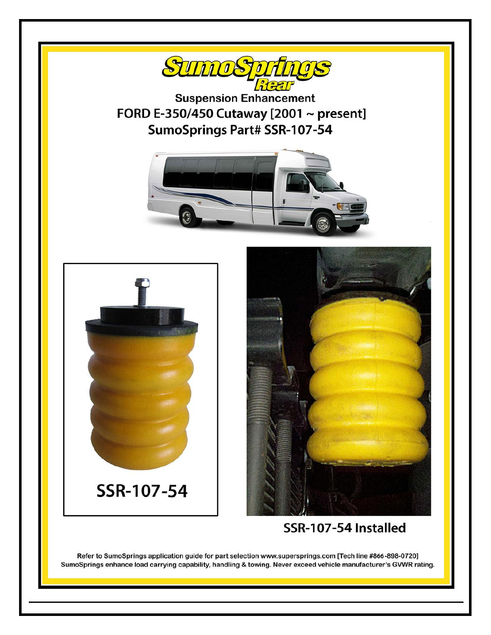

Refer to SumoSprings application guide for part selection www.supersprings.com [Tech line #866-898-0720] SumoSprings enhance load carrying capability, handling & towing. Never exceed vehicle manufacturer's GVWR rating.

102414